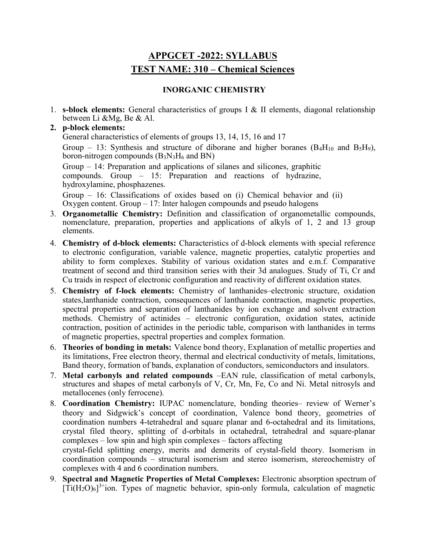# APPGCET -2022: SYLLABUS TEST NAME: 310 – Chemical Sciences

# INORGANIC CHEMISTRY

1. **s-block elements:** General characteristics of groups I & II elements, diagonal relationship between Li &Mg, Be & Al.

# 2. p-block elements:

General characteristics of elements of groups 13, 14, 15, 16 and 17 Group – 13: Synthesis and structure of diborane and higher boranes  $(B_4H_{10}$  and  $B_5H_9)$ , boron-nitrogen compounds  $(B_3N_3H_6$  and BN) Group – 14: Preparation and applications of silanes and silicones, graphitic compounds. Group – 15: Preparation and reactions of hydrazine, hydroxylamine, phosphazenes.

Group – 16: Classifications of oxides based on (i) Chemical behavior and (ii) Oxygen content. Group  $-17$ : Inter halogen compounds and pseudo halogens

- 3. Organometallic Chemistry: Definition and classification of organometallic compounds, nomenclature, preparation, properties and applications of alkyls of 1, 2 and 13 group elements.
- 4. Chemistry of d-block elements: Characteristics of d-block elements with special reference to electronic configuration, variable valence, magnetic properties, catalytic properties and ability to form complexes. Stability of various oxidation states and e.m.f. Comparative treatment of second and third transition series with their 3d analogues. Study of Ti, Cr and Cu traids in respect of electronic configuration and reactivity of different oxidation states.
- 5. Chemistry of f-lock elements: Chemistry of lanthanides–electronic structure, oxidation states,lanthanide contraction, consequences of lanthanide contraction, magnetic properties, spectral properties and separation of lanthanides by ion exchange and solvent extraction methods. Chemistry of actinides – electronic configuration, oxidation states, actinide contraction, position of actinides in the periodic table, comparison with lanthanides in terms of magnetic properties, spectral properties and complex formation.
- 6. Theories of bonding in metals: Valence bond theory, Explanation of metallic properties and its limitations, Free electron theory, thermal and electrical conductivity of metals, limitations, Band theory, formation of bands, explanation of conductors, semiconductors and insulators.
- 7. Metal carbonyls and related compounds –EAN rule, classification of metal carbonyls, structures and shapes of metal carbonyls of V, Cr, Mn, Fe, Co and Ni. Metal nitrosyls and metallocenes (only ferrocene).
- 8. Coordination Chemistry: IUPAC nomenclature, bonding theories– review of Werner's theory and Sidgwick's concept of coordination, Valence bond theory, geometries of coordination numbers 4-tetrahedral and square planar and 6-octahedral and its limitations, crystal filed theory, splitting of d-orbitals in octahedral, tetrahedral and square-planar complexes – low spin and high spin complexes – factors affecting

crystal-field splitting energy, merits and demerits of crystal-field theory. Isomerism in coordination compounds – structural isomerism and stereo isomerism, stereochemistry of complexes with 4 and 6 coordination numbers.

9. Spectral and Magnetic Properties of Metal Complexes: Electronic absorption spectrum of  $[\text{Ti}(\text{H}_2\text{O})_6]^{3+}$ ion. Types of magnetic behavior, spin-only formula, calculation of magnetic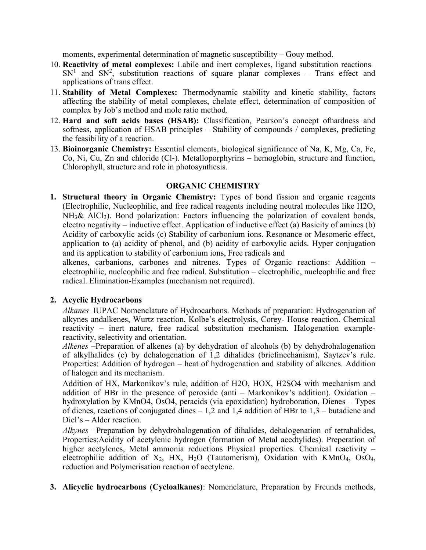moments, experimental determination of magnetic susceptibility – Gouy method.

- 10. Reactivity of metal complexes: Labile and inert complexes, ligand substitution reactions–  $SN<sup>1</sup>$  and  $SN<sup>2</sup>$ , substitution reactions of square planar complexes – Trans effect and applications of trans effect.
- 11. Stability of Metal Complexes: Thermodynamic stability and kinetic stability, factors affecting the stability of metal complexes, chelate effect, determination of composition of complex by Job's method and mole ratio method.
- 12. Hard and soft acids bases (HSAB): Classification, Pearson's concept ofhardness and softness, application of HSAB principles – Stability of compounds / complexes, predicting the feasibility of a reaction.
- 13. Bioinorganic Chemistry: Essential elements, biological significance of Na, K, Mg, Ca, Fe, Co, Ni, Cu, Zn and chloride (Cl-). Metalloporphyrins – hemoglobin, structure and function, Chlorophyll, structure and role in photosynthesis.

# ORGANIC CHEMISTRY

1. Structural theory in Organic Chemistry: Types of bond fission and organic reagents (Electrophilic, Nucleophilic, and free radical reagents including neutral molecules like H2O,  $NH<sub>3</sub>$ & AlCl<sub>3</sub>). Bond polarization: Factors influencing the polarization of covalent bonds, electro negativity – inductive effect. Application of inductive effect (a) Basicity of amines (b) Acidity of carboxylic acids (c) Stability of carbonium ions. Resonance or Mesomeric effect, application to (a) acidity of phenol, and (b) acidity of carboxylic acids. Hyper conjugation and its application to stability of carbonium ions, Free radicals and

alkenes, carbanions, carbones and nitrenes. Types of Organic reactions: Addition – electrophilic, nucleophilic and free radical. Substitution – electrophilic, nucleophilic and free radical. Elimination-Examples (mechanism not required).

# 2. Acyclic Hydrocarbons

Alkanes–IUPAC Nomenclature of Hydrocarbons. Methods of preparation: Hydrogenation of alkynes andalkenes, Wurtz reaction, Kolbe's electrolysis, Corey- House reaction. Chemical reactivity – inert nature, free radical substitution mechanism. Halogenation examplereactivity, selectivity and orientation.

Alkenes –Preparation of alkenes (a) by dehydration of alcohols (b) by dehydrohalogenation of alkylhalides (c) by dehalogenation of 1,2 dihalides (briefmechanism), Saytzev's rule. Properties: Addition of hydrogen – heat of hydrogenation and stability of alkenes. Addition of halogen and its mechanism.

Addition of HX, Markonikov's rule, addition of H2O, HOX, H2SO4 with mechanism and addition of HBr in the presence of peroxide (anti – Markonikov's addition). Oxidation – hydroxylation by KMnO4, OsO4, peracids (via epoxidation) hydroboration, Dienes – Types of dienes, reactions of conjugated dines  $-1,2$  and 1,4 addition of HBr to  $1,3$  – butadiene and Diel's – Alder reaction.

Alkynes –Preparation by dehydrohalogenation of dihalides, dehalogenation of tetrahalides, Properties;Acidity of acetylenic hydrogen (formation of Metal acedtylides). Preperation of higher acetylenes, Metal ammonia reductions Physical properties. Chemical reactivity – electrophilic addition of  $X_2$ , HX, H<sub>2</sub>O (Tautomerism), Oxidation with KMnO<sub>4</sub>, OsO<sub>4</sub>, reduction and Polymerisation reaction of acetylene.

3. Alicyclic hydrocarbons (Cycloalkanes): Nomenclature, Preparation by Freunds methods,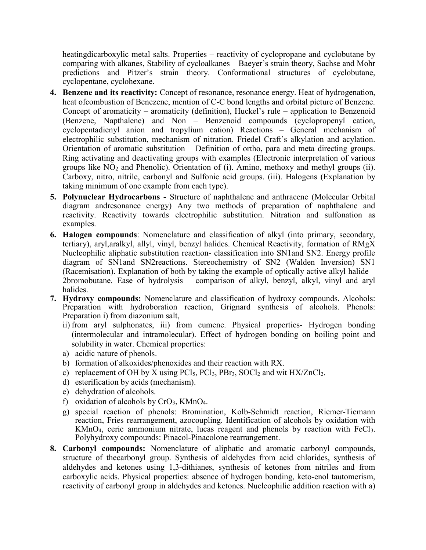heatingdicarboxylic metal salts. Properties – reactivity of cyclopropane and cyclobutane by comparing with alkanes, Stability of cycloalkanes – Baeyer's strain theory, Sachse and Mohr predictions and Pitzer's strain theory. Conformational structures of cyclobutane, cyclopentane, cyclohexane.

- 4. Benzene and its reactivity: Concept of resonance, resonance energy. Heat of hydrogenation, heat ofcombustion of Benezene, mention of C-C bond lengths and orbital picture of Benzene. Concept of aromaticity – aromaticity (definition), Huckel's rule – application to Benzenoid (Benzene, Napthalene) and Non – Benzenoid compounds (cyclopropenyl cation, cyclopentadienyl anion and tropylium cation) Reactions – General mechanism of electrophilic substitution, mechanism of nitration. Friedel Craft's alkylation and acylation. Orientation of aromatic substitution – Definition of ortho, para and meta directing groups. Ring activating and deactivating groups with examples (Electronic interpretation of various groups like  $NO<sub>2</sub>$  and Phenolic). Orientation of (i). Amino, methoxy and methyl groups (ii). Carboxy, nitro, nitrile, carbonyl and Sulfonic acid groups. (iii). Halogens (Explanation by taking minimum of one example from each type).
- 5. Polynuclear Hydrocarbons Structure of naphthalene and anthracene (Molecular Orbital diagram andresonance energy) Any two methods of preparation of naphthalene and reactivity. Reactivity towards electrophilic substitution. Nitration and sulfonation as examples.
- 6. Halogen compounds: Nomenclature and classification of alkyl (into primary, secondary, tertiary), aryl,aralkyl, allyl, vinyl, benzyl halides. Chemical Reactivity, formation of RMgX Nucleophilic aliphatic substitution reaction- classification into SN1and SN2. Energy profile diagram of SN1and SN2reactions. Stereochemistry of SN2 (Walden Inversion) SN1 (Racemisation). Explanation of both by taking the example of optically active alkyl halide – 2bromobutane. Ease of hydrolysis – comparison of alkyl, benzyl, alkyl, vinyl and aryl halides.
- 7. Hydroxy compounds: Nomenclature and classification of hydroxy compounds. Alcohols: Preparation with hydroboration reaction, Grignard synthesis of alcohols. Phenols: Preparation i) from diazonium salt,
	- ii) from aryl sulphonates, iii) from cumene. Physical properties- Hydrogen bonding (intermolecular and intramolecular). Effect of hydrogen bonding on boiling point and solubility in water. Chemical properties:
	- a) acidic nature of phenols.
	- b) formation of alkoxides/phenoxides and their reaction with RX.
	- c) replacement of OH by X using PCl<sub>5</sub>, PCl<sub>3</sub>, PBr<sub>3</sub>, SOCl<sub>2</sub> and wit  $HX/ZnCl<sub>2</sub>$ .
	- d) esterification by acids (mechanism).
	- e) dehydration of alcohols.
	- f) oxidation of alcohols by  $CrO<sub>3</sub>$ , KMnO<sub>4</sub>.
	- g) special reaction of phenols: Bromination, Kolb-Schmidt reaction, Riemer-Tiemann reaction, Fries rearrangement, azocoupling. Identification of alcohols by oxidation with KMnO4, ceric ammonium nitrate, lucas reagent and phenols by reaction with FeCl3. Polyhydroxy compounds: Pinacol-Pinacolone rearrangement.
- 8. Carbonyl compounds: Nomenclature of aliphatic and aromatic carbonyl compounds, structure of thecarbonyl group. Synthesis of aldehydes from acid chlorides, synthesis of aldehydes and ketones using 1,3-dithianes, synthesis of ketones from nitriles and from carboxylic acids. Physical properties: absence of hydrogen bonding, keto-enol tautomerism, reactivity of carbonyl group in aldehydes and ketones. Nucleophilic addition reaction with a)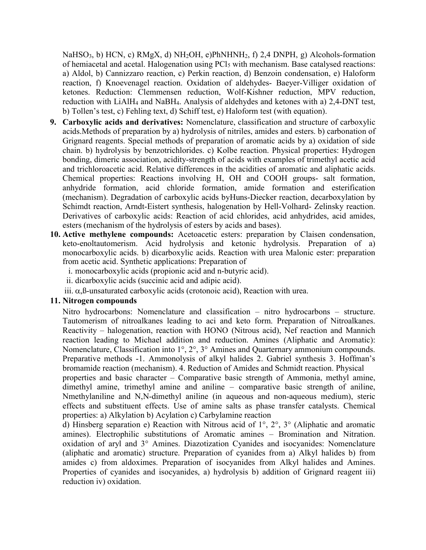NaHSO<sub>3</sub>, b) HCN, c) RMgX, d) NH<sub>2</sub>OH, e)PhNHNH<sub>2</sub>, f) 2,4 DNPH, g) Alcohols-formation of hemiacetal and acetal. Halogenation using  $\text{PCl}_5$  with mechanism. Base catalysed reactions: a) Aldol, b) Cannizzaro reaction, c) Perkin reaction, d) Benzoin condensation, e) Haloform reaction, f) Knoevenagel reaction. Oxidation of aldehydes- Baeyer-Villiger oxidation of ketones. Reduction: Clemmensen reduction, Wolf-Kishner reduction, MPV reduction, reduction with LiAlH4 and NaBH4. Analysis of aldehydes and ketones with a) 2,4-DNT test, b) Tollen's test, c) Fehling text, d) Schiff test, e) Haloform test (with equation).

- 9. Carboxylic acids and derivatives: Nomenclature, classification and structure of carboxylic acids.Methods of preparation by a) hydrolysis of nitriles, amides and esters. b) carbonation of Grignard reagents. Special methods of preparation of aromatic acids by a) oxidation of side chain. b) hydrolysis by benzotrichlorides. c) Kolbe reaction. Physical properties: Hydrogen bonding, dimeric association, acidity-strength of acids with examples of trimethyl acetic acid and trichloroacetic acid. Relative differences in the acidities of aromatic and aliphatic acids. Chemical properties: Reactions involving H, OH and COOH groups- salt formation, anhydride formation, acid chloride formation, amide formation and esterification (mechanism). Degradation of carboxylic acids byHuns-Diecker reaction, decarboxylation by Schimdt reaction, Arndt-Eistert synthesis, halogenation by Hell-Volhard- Zelinsky reaction. Derivatives of carboxylic acids: Reaction of acid chlorides, acid anhydrides, acid amides, esters (mechanism of the hydrolysis of esters by acids and bases).
- 10. Active methylene compounds: Acetoacetic esters: preparation by Claisen condensation, keto-enoltautomerism. Acid hydrolysis and ketonic hydrolysis. Preparation of a) monocarboxylic acids. b) dicarboxylic acids. Reaction with urea Malonic ester: preparation from acetic acid. Synthetic applications: Preparation of
	- i. monocarboxylic acids (propionic acid and n-butyric acid).
	- ii. dicarboxylic acids (succinic acid and adipic acid).
	- iii.  $\alpha$ ,  $\beta$ -unsaturated carboxylic acids (crotonoic acid), Reaction with urea.

### 11. Nitrogen compounds

Nitro hydrocarbons: Nomenclature and classification – nitro hydrocarbons – structure. Tautomerism of nitroalkanes leading to aci and keto form. Preparation of Nitroalkanes. Reactivity – halogenation, reaction with HONO (Nitrous acid), Nef reaction and Mannich reaction leading to Michael addition and reduction. Amines (Aliphatic and Aromatic): Nomenclature, Classification into 1°, 2°, 3° Amines and Quarternary ammonium compounds. Preparative methods -1. Ammonolysis of alkyl halides 2. Gabriel synthesis 3. Hoffman's bromamide reaction (mechanism). 4. Reduction of Amides and Schmidt reaction. Physical

properties and basic character – Comparative basic strength of Ammonia, methyl amine, dimethyl amine, trimethyl amine and aniline – comparative basic strength of aniline, Nmethylaniline and N,N-dimethyl aniline (in aqueous and non-aqueous medium), steric effects and substituent effects. Use of amine salts as phase transfer catalysts. Chemical properties: a) Alkylation b) Acylation c) Carbylamine reaction

d) Hinsberg separation e) Reaction with Nitrous acid of 1°, 2°, 3° (Aliphatic and aromatic amines). Electrophilic substitutions of Aromatic amines – Bromination and Nitration. oxidation of aryl and 3° Amines. Diazotization Cyanides and isocyanides: Nomenclature (aliphatic and aromatic) structure. Preparation of cyanides from a) Alkyl halides b) from amides c) from aldoximes. Preparation of isocyanides from Alkyl halides and Amines. Properties of cyanides and isocyanides, a) hydrolysis b) addition of Grignard reagent iii) reduction iv) oxidation.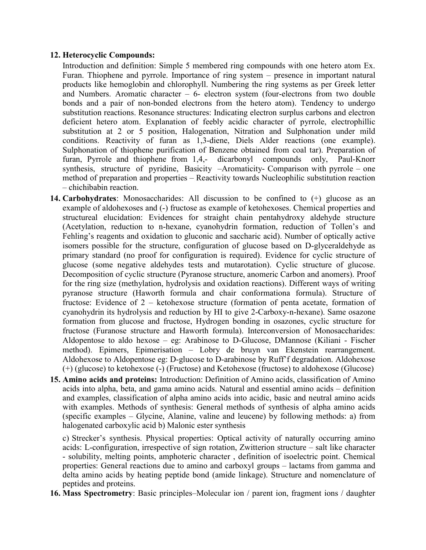#### 12. Heterocyclic Compounds:

Introduction and definition: Simple 5 membered ring compounds with one hetero atom Ex. Furan. Thiophene and pyrrole. Importance of ring system – presence in important natural products like hemoglobin and chlorophyll. Numbering the ring systems as per Greek letter and Numbers. Aromatic character – 6- electron system (four-electrons from two double bonds and a pair of non-bonded electrons from the hetero atom). Tendency to undergo substitution reactions. Resonance structures: Indicating electron surplus carbons and electron deficient hetero atom. Explanation of feebly acidic character of pyrrole, electrophillic substitution at 2 or 5 position, Halogenation, Nitration and Sulphonation under mild conditions. Reactivity of furan as 1,3-diene, Diels Alder reactions (one example). Sulphonation of thiophene purification of Benzene obtained from coal tar). Preparation of furan, Pyrrole and thiophene from 1,4,- dicarbonyl compounds only, Paul-Knorr synthesis, structure of pyridine, Basicity –Aromaticity- Comparison with pyrrole – one method of preparation and properties – Reactivity towards Nucleophilic substitution reaction – chichibabin reaction.

- 14. Carbohydrates: Monosaccharides: All discussion to be confined to (+) glucose as an example of aldohexoses and (-) fructose as example of ketohexoses. Chemical properties and structureal elucidation: Evidences for straight chain pentahydroxy aldehyde structure (Acetylation, reduction to n-hexane, cyanohydrin formation, reduction of Tollen's and Fehling's reagents and oxidation to gluconic and saccharic acid). Number of optically active isomers possible for the structure, configuration of glucose based on D-glyceraldehyde as primary standard (no proof for configuration is required). Evidence for cyclic structure of glucose (some negative aldehydes tests and mutarotation). Cyclic structure of glucose. Decomposition of cyclic structure (Pyranose structure, anomeric Carbon and anomers). Proof for the ring size (methylation, hydrolysis and oxidation reactions). Different ways of writing pyranose structure (Haworth formula and chair conformationa formula). Structure of fructose: Evidence of 2 – ketohexose structure (formation of penta acetate, formation of cyanohydrin its hydrolysis and reduction by HI to give 2-Carboxy-n-hexane). Same osazone formation from glucose and fructose, Hydrogen bonding in osazones, cyclic structure for fructose (Furanose structure and Haworth formula). Interconversion of Monosaccharides: Aldopentose to aldo hexose – eg: Arabinose to D-Glucose, DMannose (Kiliani - Fischer method). Epimers, Epimerisation – Lobry de bruyn van Ekenstein rearrangement. Aldohexose to Aldopentose eg: D-glucose to D-arabinose by Ruff'f degradation. Aldohexose (+) (glucose) to ketohexose (-) (Fructose) and Ketohexose (fructose) to aldohexose (Glucose)
- 15. Amino acids and proteins: Introduction: Definition of Amino acids, classification of Amino acids into alpha, beta, and gama amino acids. Natural and essential amino acids – definition and examples, classification of alpha amino acids into acidic, basic and neutral amino acids with examples. Methods of synthesis: General methods of synthesis of alpha amino acids (specific examples – Glycine, Alanine, valine and leucene) by following methods: a) from halogenated carboxylic acid b) Malonic ester synthesis

c) Strecker's synthesis. Physical properties: Optical activity of naturally occurring amino acids: L-configuration, irrespective of sign rotation, Zwitterion structure – salt like character - solubility, melting points, amphoteric character , definition of isoelectric point. Chemical properties: General reactions due to amino and carboxyl groups – lactams from gamma and delta amino acids by heating peptide bond (amide linkage). Structure and nomenclature of peptides and proteins.

16. Mass Spectrometry: Basic principles–Molecular ion / parent ion, fragment ions / daughter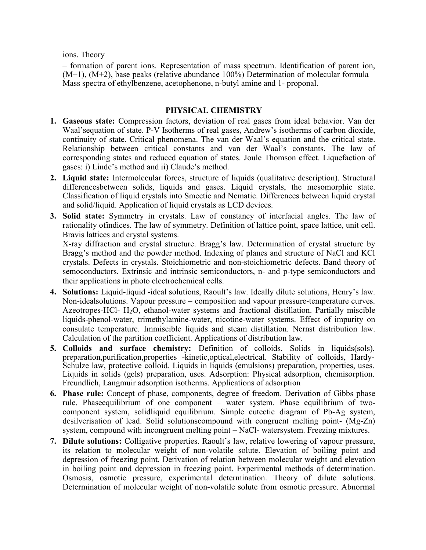ions. Theory

– formation of parent ions. Representation of mass spectrum. Identification of parent ion,  $(M+1)$ ,  $(M+2)$ , base peaks (relative abundance 100%) Determination of molecular formula – Mass spectra of ethylbenzene, acetophenone, n-butyl amine and 1- proponal.

## PHYSICAL CHEMISTRY

- 1. Gaseous state: Compression factors, deviation of real gases from ideal behavior. Van der Waal'sequation of state. P-V Isotherms of real gases, Andrew's isotherms of carbon dioxide, continuity of state. Critical phenomena. The van der Waal's equation and the critical state. Relationship between critical constants and van der Waal's constants. The law of corresponding states and reduced equation of states. Joule Thomson effect. Liquefaction of gases: i) Linde's method and ii) Claude's method.
- 2. Liquid state: Intermolecular forces, structure of liquids (qualitative description). Structural differencesbetween solids, liquids and gases. Liquid crystals, the mesomorphic state. Classification of liquid crystals into Smectic and Nematic. Differences between liquid crystal and solid/liquid. Application of liquid crystals as LCD devices.
- 3. Solid state: Symmetry in crystals. Law of constancy of interfacial angles. The law of rationality ofindices. The law of symmetry. Definition of lattice point, space lattice, unit cell. Bravis lattices and crystal systems.

X-ray diffraction and crystal structure. Bragg's law. Determination of crystal structure by Bragg's method and the powder method. Indexing of planes and structure of NaCl and KCl crystals. Defects in crystals. Stoichiometric and non-stoichiometric defects. Band theory of semoconductors. Extrinsic and intrinsic semiconductors, n- and p-type semiconductors and their applications in photo electrochemical cells.

- 4. Solutions: Liquid-liquid -ideal solutions, Raoult's law. Ideally dilute solutions, Henry's law. Non-idealsolutions. Vapour pressure – composition and vapour pressure-temperature curves. Azeotropes-HCl- H2O, ethanol-water systems and fractional distillation. Partially miscible liquids-phenol-water, trimethylamine-water, nicotine-water systems. Effect of impurity on consulate temperature. Immiscible liquids and steam distillation. Nernst distribution law. Calculation of the partition coefficient. Applications of distribution law.
- 5. Colloids and surface chemistry: Definition of colloids. Solids in liquids(sols), preparation,purification,properties -kinetic,optical,electrical. Stability of colloids, Hardy-Schulze law, protective colloid. Liquids in liquids (emulsions) preparation, properties, uses. Liquids in solids (gels) preparation, uses. Adsorption: Physical adsorption, chemisorption. Freundlich, Langmuir adsorption isotherms. Applications of adsorption
- 6. Phase rule: Concept of phase, components, degree of freedom. Derivation of Gibbs phase rule. Phaseequilibrium of one component – water system. Phase equilibrium of twocomponent system, solidliquid equilibrium. Simple eutectic diagram of Pb-Ag system, desilverisation of lead. Solid solutionscompound with congruent melting point- (Mg-Zn) system, compound with incongruent melting point – NaCl- watersystem. Freezing mixtures.
- 7. Dilute solutions: Colligative properties. Raoult's law, relative lowering of vapour pressure, its relation to molecular weight of non-volatile solute. Elevation of boiling point and depression of freezing point. Derivation of relation between molecular weight and elevation in boiling point and depression in freezing point. Experimental methods of determination. Osmosis, osmotic pressure, experimental determination. Theory of dilute solutions. Determination of molecular weight of non-volatile solute from osmotic pressure. Abnormal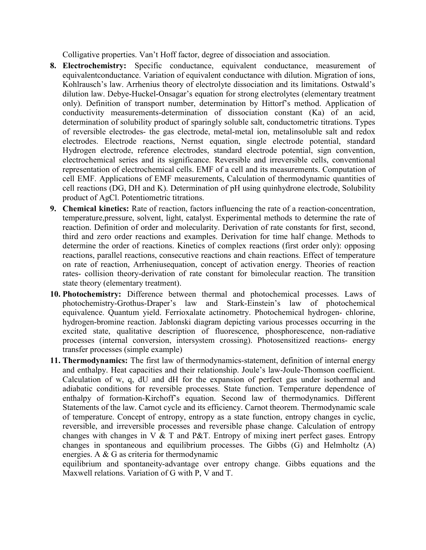Colligative properties. Van't Hoff factor, degree of dissociation and association.

- 8. Electrochemistry: Specific conductance, equivalent conductance, measurement of equivalentconductance. Variation of equivalent conductance with dilution. Migration of ions, Kohlrausch's law. Arrhenius theory of electrolyte dissociation and its limitations. Ostwald's dilution law. Debye-Huckel-Onsagar's equation for strong electrolytes (elementary treatment only). Definition of transport number, determination by Hittorf's method. Application of conductivity measurements-determination of dissociation constant (Ka) of an acid, determination of solubility product of sparingly soluble salt, conductometric titrations. Types of reversible electrodes- the gas electrode, metal-metal ion, metalinsoluble salt and redox electrodes. Electrode reactions, Nernst equation, single electrode potential, standard Hydrogen electrode, reference electrodes, standard electrode potential, sign convention, electrochemical series and its significance. Reversible and irreversible cells, conventional representation of electrochemical cells. EMF of a cell and its measurements. Computation of cell EMF. Applications of EMF measurements, Calculation of thermodynamic quantities of cell reactions (DG, DH and K). Determination of pH using quinhydrone electrode, Solubility product of AgCl. Potentiometric titrations.
- 9. Chemical kinetics: Rate of reaction, factors influencing the rate of a reaction-concentration, temperature,pressure, solvent, light, catalyst. Experimental methods to determine the rate of reaction. Definition of order and molecularity. Derivation of rate constants for first, second, third and zero order reactions and examples. Derivation for time half change. Methods to determine the order of reactions. Kinetics of complex reactions (first order only): opposing reactions, parallel reactions, consecutive reactions and chain reactions. Effect of temperature on rate of reaction, Arrheniusequation, concept of activation energy. Theories of reaction rates- collision theory-derivation of rate constant for bimolecular reaction. The transition state theory (elementary treatment).
- 10. Photochemistry: Difference between thermal and photochemical processes. Laws of photochemistry-Grothus-Draper's law and Stark-Einstein's law of photochemical equivalence. Quantum yield. Ferrioxalate actinometry. Photochemical hydrogen- chlorine, hydrogen-bromine reaction. Jablonski diagram depicting various processes occurring in the excited state, qualitative description of fluorescence, phosphorescence, non-radiative processes (internal conversion, intersystem crossing). Photosensitized reactions- energy transfer processes (simple example)
- 11. Thermodynamics: The first law of thermodynamics-statement, definition of internal energy and enthalpy. Heat capacities and their relationship. Joule's law-Joule-Thomson coefficient. Calculation of w, q, dU and dH for the expansion of perfect gas under isothermal and adiabatic conditions for reversible processes. State function. Temperature dependence of enthalpy of formation-Kirchoff's equation. Second law of thermodynamics. Different Statements of the law. Carnot cycle and its efficiency. Carnot theorem. Thermodynamic scale of temperature. Concept of entropy, entropy as a state function, entropy changes in cyclic, reversible, and irreversible processes and reversible phase change. Calculation of entropy changes with changes in  $V & T$  and P&T. Entropy of mixing inert perfect gases. Entropy changes in spontaneous and equilibrium processes. The Gibbs (G) and Helmholtz (A) energies. A & G as criteria for thermodynamic

equilibrium and spontaneity-advantage over entropy change. Gibbs equations and the Maxwell relations. Variation of G with P, V and T.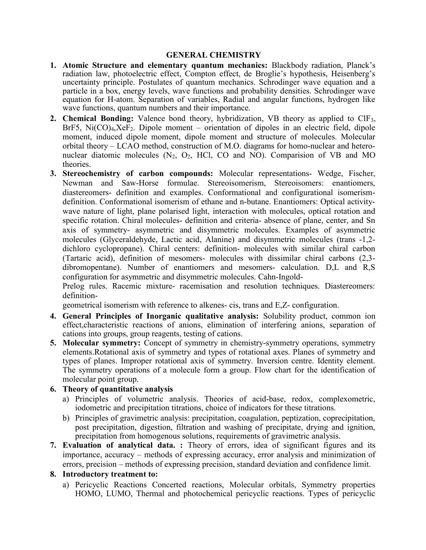#### GENERAL CHEMISTRY

- 1. Atomic Structure and elementary quantum mechanics: Blackbody radiation, Planck's radiation law, photoelectric effect, Compton effect, de Broglie's hypothesis, Heisenberg's uncertainty principle. Postulates of quantum mechanics. Schrodinger wave equation and a particle in a box, energy levels, wave functions and probability densities. Schrodinger wave equation for H-atom. Separation of variables, Radial and angular functions, hydrogen like wave functions, quantum numbers and their importance.
- 2. Chemical Bonding: Valence bond theory, hybridization, VB theory as applied to ClF<sub>3</sub>,  $BrF5$ ,  $Ni(CO)<sub>4</sub> XeF<sub>2</sub>$ . Dipole moment – orientation of dipoles in an electric field, dipole moment, induced dipole moment, dipole moment and structure of molecules. Molecular orbital theory – LCAO method, construction of M.O. diagrams for homo-nuclear and heteronuclear diatomic molecules  $(N_2, O_2, HCl, CO, and NO)$ . Comparision of VB and MO theories.
- 3. Stereochemistry of carbon compounds: Molecular representations- Wedge, Fischer, Newman and Saw-Horse formulae. Stereoisomerism, Stereoisomers: enantiomers, diastereomers- definition and examples. Conformational and configurational isomerismdefinition. Conformational isomerism of ethane and n-butane. Enantiomers: Optical activitywave nature of light, plane polarised light, interaction with molecules, optical rotation and specific rotation. Chiral molecules- definition and criteria- absence of plane, center, and Sn axis of symmetry- asymmetric and disymmetric molecules. Examples of asymmetric molecules (Glyceraldehyde, Lactic acid, Alanine) and disymmetric molecules (trans -1,2 dichloro cyclopropane). Chiral centers: definition- molecules with similar chiral carbon (Tartaric acid), definition of mesomers- molecules with dissimilar chiral carbons (2,3 dibromopentane). Number of enantiomers and mesomers- calculation. D,L and R,S configuration for asymmetric and disymmetric molecules. Cahn-Ingold-

Prelog rules. Racemic mixture- racemisation and resolution techniques. Diastereomers: definition-

geometrical isomerism with reference to alkenes- cis, trans and E,Z- configuration.

- 4. General Principles of Inorganic qualitative analysis: Solubility product, common ion effect,characteristic reactions of anions, elimination of interfering anions, separation of cations into groups, group reagents, testing of cations.
- 5. Molecular symmetry: Concept of symmetry in chemistry-symmetry operations, symmetry elements.Rotational axis of symmetry and types of rotational axes. Planes of symmetry and types of planes. Improper rotational axis of symmetry. Inversion centre. Identity element. The symmetry operations of a molecule form a group. Flow chart for the identification of molecular point group.

### 6. Theory of quantitative analysis

- a) Principles of volumetric analysis. Theories of acid-base, redox, complexometric, iodometric and precipitation titrations, choice of indicators for these titrations.
- b) Principles of gravimetric analysis: precipitation, coagulation, peptization, coprecipitation, post precipitation, digestion, filtration and washing of precipitate, drying and ignition, precipitation from homogenous solutions, requirements of gravimetric analysis.
- 7. Evaluation of analytical data. : Theory of errors, idea of significant figures and its importance, accuracy – methods of expressing accuracy, error analysis and minimization of errors, precision – methods of expressing precision, standard deviation and confidence limit.

#### 8. Introductory treatment to:

a) Pericyclic Reactions Concerted reactions, Molecular orbitals, Symmetry properties HOMO, LUMO, Thermal and photochemical pericyclic reactions. Types of pericyclic